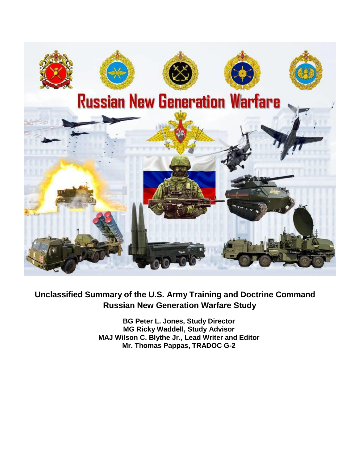

# **Unclassified Summary of the U.S. Army Training and Doctrine Command Russian New Generation Warfare Study**

**BG Peter L. Jones, Study Director MG Ricky Waddell, Study Advisor MAJ Wilson C. Blythe Jr., Lead Writer and Editor Mr. Thomas Pappas, TRADOC G-2**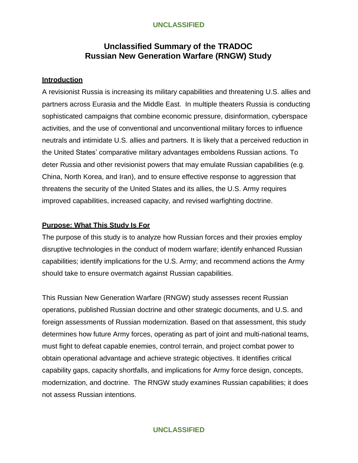# **Unclassified Summary of the TRADOC Russian New Generation Warfare (RNGW) Study**

#### **Introduction**

A revisionist Russia is increasing its military capabilities and threatening U.S. allies and partners across Eurasia and the Middle East. In multiple theaters Russia is conducting sophisticated campaigns that combine economic pressure, disinformation, cyberspace activities, and the use of conventional and unconventional military forces to influence neutrals and intimidate U.S. allies and partners. It is likely that a perceived reduction in the United States' comparative military advantages emboldens Russian actions. To deter Russia and other revisionist powers that may emulate Russian capabilities (e.g. China, North Korea, and Iran), and to ensure effective response to aggression that threatens the security of the United States and its allies, the U.S. Army requires improved capabilities, increased capacity, and revised warfighting doctrine.

#### **Purpose: What This Study Is For**

The purpose of this study is to analyze how Russian forces and their proxies employ disruptive technologies in the conduct of modern warfare; identify enhanced Russian capabilities; identify implications for the U.S. Army; and recommend actions the Army should take to ensure overmatch against Russian capabilities.

This Russian New Generation Warfare (RNGW) study assesses recent Russian operations, published Russian doctrine and other strategic documents, and U.S. and foreign assessments of Russian modernization. Based on that assessment, this study determines how future Army forces, operating as part of joint and multi-national teams, must fight to defeat capable enemies, control terrain, and project combat power to obtain operational advantage and achieve strategic objectives. It identifies critical capability gaps, capacity shortfalls, and implications for Army force design, concepts, modernization, and doctrine. The RNGW study examines Russian capabilities; it does not assess Russian intentions.

## **UNCLASSIFIED**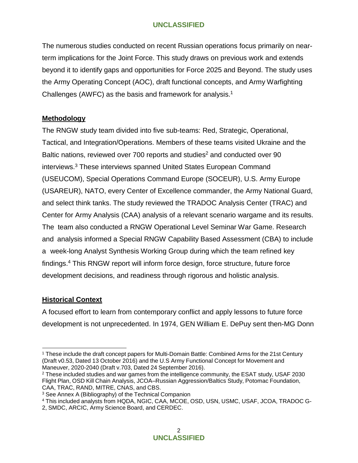The numerous studies conducted on recent Russian operations focus primarily on nearterm implications for the Joint Force. This study draws on previous work and extends beyond it to identify gaps and opportunities for Force 2025 and Beyond. The study uses the Army Operating Concept (AOC), draft functional concepts, and Army Warfighting Challenges (AWFC) as the basis and framework for analysis.<sup>1</sup>

## **Methodology**

The RNGW study team divided into five sub-teams: Red, Strategic, Operational, Tactical, and Integration/Operations. Members of these teams visited Ukraine and the Baltic nations, reviewed over 700 reports and studies<sup>2</sup> and conducted over 90 interviews.<sup>3</sup> These interviews spanned United States European Command (USEUCOM), Special Operations Command Europe (SOCEUR), U.S. Army Europe (USAREUR), NATO, every Center of Excellence commander, the Army National Guard, and select think tanks. The study reviewed the TRADOC Analysis Center (TRAC) and Center for Army Analysis (CAA) analysis of a relevant scenario wargame and its results. The team also conducted a RNGW Operational Level Seminar War Game. Research and analysis informed a Special RNGW Capability Based Assessment (CBA) to include a week-long Analyst Synthesis Working Group during which the team refined key findings.<sup>4</sup> This RNGW report will inform force design, force structure, future force development decisions, and readiness through rigorous and holistic analysis.

## **Historical Context**

A focused effort to learn from contemporary conflict and apply lessons to future force development is not unprecedented. In 1974, GEN William E. DePuy sent then-MG Donn

<sup>&</sup>lt;sup>1</sup> These include the draft concept papers for Multi-Domain Battle: Combined Arms for the 21st Century (Draft v0.53, Dated 13 October 2016) and the U.S Army Functional Concept for Movement and Maneuver, 2020-2040 (Draft v.703, Dated 24 September 2016).

<sup>2</sup> These included studies and war games from the intelligence community, the ESAT study, USAF 2030 Flight Plan, OSD Kill Chain Analysis, JCOA–Russian Aggression/Baltics Study, Potomac Foundation, CAA, TRAC, RAND, MITRE, CNAS, and CBS.

<sup>3</sup> See Annex A (Bibliography) of the Technical Companion

<sup>4</sup> This included analysts from HQDA, NGIC, CAA, MCOE, OSD, USN, USMC, USAF, JCOA, TRADOC G-

<sup>2,</sup> SMDC, ARCIC, Army Science Board, and CERDEC.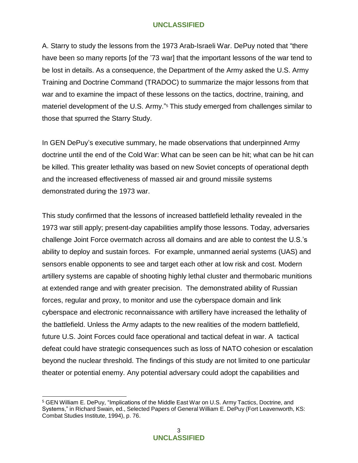A. Starry to study the lessons from the 1973 Arab-Israeli War. DePuy noted that "there have been so many reports [of the '73 war] that the important lessons of the war tend to be lost in details. As a consequence, the Department of the Army asked the U.S. Army Training and Doctrine Command (TRADOC) to summarize the major lessons from that war and to examine the impact of these lessons on the tactics, doctrine, training, and materiel development of the U.S. Army."<sup>5</sup> This study emerged from challenges similar to those that spurred the Starry Study.

In GEN DePuy's executive summary, he made observations that underpinned Army doctrine until the end of the Cold War: What can be seen can be hit; what can be hit can be killed. This greater lethality was based on new Soviet concepts of operational depth and the increased effectiveness of massed air and ground missile systems demonstrated during the 1973 war.

This study confirmed that the lessons of increased battlefield lethality revealed in the 1973 war still apply; present-day capabilities amplify those lessons. Today, adversaries challenge Joint Force overmatch across all domains and are able to contest the U.S.'s ability to deploy and sustain forces. For example, unmanned aerial systems (UAS) and sensors enable opponents to see and target each other at low risk and cost. Modern artillery systems are capable of shooting highly lethal cluster and thermobaric munitions at extended range and with greater precision. The demonstrated ability of Russian forces, regular and proxy, to monitor and use the cyberspace domain and link cyberspace and electronic reconnaissance with artillery have increased the lethality of the battlefield. Unless the Army adapts to the new realities of the modern battlefield, future U.S. Joint Forces could face operational and tactical defeat in war. A tactical defeat could have strategic consequences such as loss of NATO cohesion or escalation beyond the nuclear threshold. The findings of this study are not limited to one particular theater or potential enemy. Any potential adversary could adopt the capabilities and

<sup>5</sup> GEN William E. DePuy, "Implications of the Middle East War on U.S. Army Tactics, Doctrine, and Systems," in Richard Swain, ed., Selected Papers of General William E. DePuy (Fort Leavenworth, KS: Combat Studies Institute, 1994), p. 76.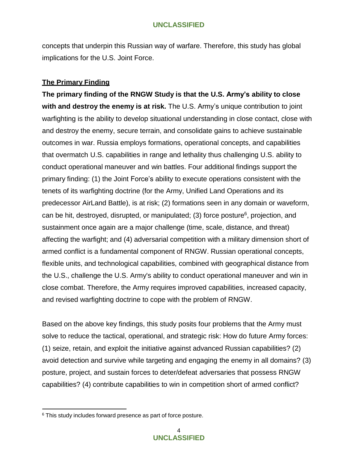concepts that underpin this Russian way of warfare. Therefore, this study has global implications for the U.S. Joint Force.

## **The Primary Finding**

**The primary finding of the RNGW Study is that the U.S. Army's ability to close with and destroy the enemy is at risk.** The U.S. Army's unique contribution to joint warfighting is the ability to develop situational understanding in close contact, close with and destroy the enemy, secure terrain, and consolidate gains to achieve sustainable outcomes in war. Russia employs formations, operational concepts, and capabilities that overmatch U.S. capabilities in range and lethality thus challenging U.S. ability to conduct operational maneuver and win battles. Four additional findings support the primary finding: (1) the Joint Force's ability to execute operations consistent with the tenets of its warfighting doctrine (for the Army, Unified Land Operations and its predecessor AirLand Battle), is at risk; (2) formations seen in any domain or waveform, can be hit, destroyed, disrupted, or manipulated; (3) force posture<sup>6</sup>, projection, and sustainment once again are a major challenge (time, scale, distance, and threat) affecting the warfight; and (4) adversarial competition with a military dimension short of armed conflict is a fundamental component of RNGW. Russian operational concepts, flexible units, and technological capabilities, combined with geographical distance from the U.S., challenge the U.S. Army's ability to conduct operational maneuver and win in close combat. Therefore, the Army requires improved capabilities, increased capacity, and revised warfighting doctrine to cope with the problem of RNGW.

Based on the above key findings, this study posits four problems that the Army must solve to reduce the tactical, operational, and strategic risk: How do future Army forces: (1) seize, retain, and exploit the initiative against advanced Russian capabilities? (2) avoid detection and survive while targeting and engaging the enemy in all domains? (3) posture, project, and sustain forces to deter/defeat adversaries that possess RNGW capabilities? (4) contribute capabilities to win in competition short of armed conflict?

<sup>&</sup>lt;sup>6</sup> This study includes forward presence as part of force posture.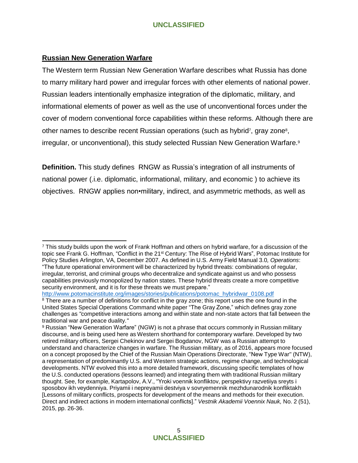#### **Russian New Generation Warfare**

The Western term Russian New Generation Warfare describes what Russia has done to marry military hard power and irregular forces with other elements of national power. Russian leaders intentionally emphasize integration of the diplomatic, military, and informational elements of power as well as the use of unconventional forces under the cover of modern conventional force capabilities within these reforms. Although there are other names to describe recent Russian operations (such as hybrid<sup>7</sup>, gray zone<sup>8</sup>, irregular, or unconventional), this study selected Russian New Generation Warfare.<sup>9</sup>

**Definition.** This study defines RNGW as Russia's integration of all instruments of national power (.i.e. diplomatic, informational, military, and economic ) to achieve its objectives. RNGW applies non•military, indirect, and asymmetric methods, as well as

[http://www.potomacinstitute.org/images/stories/publications/potomac\\_hybridwar\\_0108.pdf](http://www.potomacinstitute.org/images/stories/publications/potomac_hybridwar_0108.pdf)

<sup>7</sup> This study builds upon the work of Frank Hoffman and others on hybrid warfare, for a discussion of the topic see Frank G. Hoffman, "Conflict in the 21st Century: The Rise of Hybrid Wars", Potomac Institute for Policy Studies Arlington, VA, December 2007. As defined in U.S. Army Field Manual 3.0*, Operations*: "The future operational environment will be characterized by hybrid threats: combinations of regular, irregular, terrorist, and criminal groups who decentralize and syndicate against us and who possess capabilities previously monopolized by nation states. These hybrid threats create a more competitive security environment, and it is for these threats we must prepare."

<sup>&</sup>lt;sup>8</sup> There are a number of definitions for conflict in the gray zone; this report uses the one found in the United States Special Operations Command white paper "The Gray Zone," which defines gray zone challenges as *"*competitive interactions among and within state and non-state actors that fall between the traditional war and peace duality.*"*

<sup>9</sup> Russian "New Generation Warfare" (NGW) is not a phrase that occurs commonly in Russian military discourse, and is being used here as Western shorthand for contemporary warfare. Developed by two retired military officers, Sergei Chekinov and Sergei Bogdanov, NGW was a Russian attempt to understand and characterize changes in warfare. The Russian military, as of 2016, appears more focused on a concept proposed by the Chief of the Russian Main Operations Directorate, "New Type War" (NTW), a representation of predominantly U.S. and Western strategic actions, regime change, and technological developments. NTW evolved this into a more detailed framework, discussing specific templates of how the U.S. conducted operations (lessons learned) and integrating them with traditional Russian military thought. See, for example, Kartapolov, A.V., "Yroki voennik konfliktov, perspektivy razvetiiya sreyts i sposobov ikh veydenniya. Priyamii i nepreyamii destviya v sovryemennik mezhdunarodnik konfliktakh [Lessons of military conflicts, prospects for development of the means and methods for their execution. Direct and indirect actions in modern international conflicts]." *Vestnik Akademii Voennix Nauk,* No. 2 (51), 2015, pp. 26-36.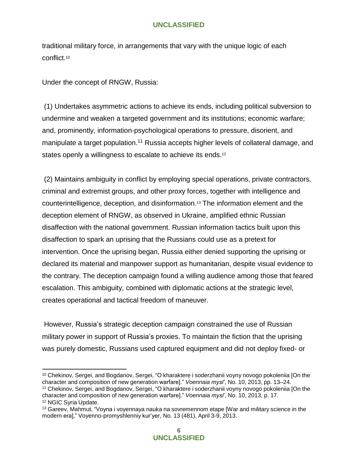traditional military force, in arrangements that vary with the unique logic of each conflict.<sup>10</sup>

Under the concept of RNGW, Russia:

(1) Undertakes asymmetric actions to achieve its ends, including political subversion to undermine and weaken a targeted government and its institutions; economic warfare; and, prominently, information-psychological operations to pressure, disorient, and manipulate a target population.<sup>11</sup> Russia accepts higher levels of collateral damage, and states openly a willingness to escalate to achieve its ends.<sup>12</sup>

(2) Maintains ambiguity in conflict by employing special operations, private contractors, criminal and extremist groups, and other proxy forces, together with intelligence and counterintelligence, deception, and disinformation.<sup>13</sup> The information element and the deception element of RNGW, as observed in Ukraine, amplified ethnic Russian disaffection with the national government. Russian information tactics built upon this disaffection to spark an uprising that the Russians could use as a pretext for intervention. Once the uprising began, Russia either denied supporting the uprising or declared its material and manpower support as humanitarian, despite visual evidence to the contrary. The deception campaign found a willing audience among those that feared escalation. This ambiguity, combined with diplomatic actions at the strategic level, creates operational and tactical freedom of maneuver.

However, Russia's strategic deception campaign constrained the use of Russian military power in support of Russia's proxies. To maintain the fiction that the uprising was purely domestic, Russians used captured equipment and did not deploy fixed- or

<sup>10</sup> Chekinov, Sergei, and Bogdanov, Sergei, "O kharaktere i soderzhanii voyny novogo pokoleniia [On the character and composition of new generation warfare]." *Voennaia mysl'*, No. 10, 2013, pp. 13–24.

<sup>11</sup> Chekinov, Sergei, and Bogdanov, Sergei, "O kharaktere i soderzhanii voyny novogo pokoleniia [On the character and composition of new generation warfare]." *Voennaia mysl'*, No. 10, 2013, p. 17. <sup>12</sup> NGIC Syria Update.

<sup>13</sup> Gareev, Mahmut, "Voyna i voyennaya nauka na sovremennom etape [War and military science in the modern era]," Voyenno-promyshlenniy kur'yer, No. 13 (481), April 3-9, 2013.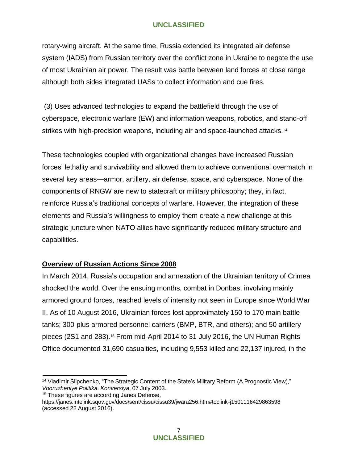rotary-wing aircraft. At the same time, Russia extended its integrated air defense system (IADS) from Russian territory over the conflict zone in Ukraine to negate the use of most Ukrainian air power. The result was battle between land forces at close range although both sides integrated UASs to collect information and cue fires.

(3) Uses advanced technologies to expand the battlefield through the use of cyberspace, electronic warfare (EW) and information weapons, robotics, and stand-off strikes with high-precision weapons, including air and space-launched attacks.<sup>14</sup>

These technologies coupled with organizational changes have increased Russian forces' lethality and survivability and allowed them to achieve conventional overmatch in several key areas—armor, artillery, air defense, space, and cyberspace. None of the components of RNGW are new to statecraft or military philosophy; they, in fact, reinforce Russia's traditional concepts of warfare. However, the integration of these elements and Russia's willingness to employ them create a new challenge at this strategic juncture when NATO allies have significantly reduced military structure and capabilities.

## **Overview of Russian Actions Since 2008**

In March 2014, Russia's occupation and annexation of the Ukrainian territory of Crimea shocked the world. Over the ensuing months, combat in Donbas, involving mainly armored ground forces, reached levels of intensity not seen in Europe since World War II. As of 10 August 2016, Ukrainian forces lost approximately 150 to 170 main battle tanks; 300-plus armored personnel carriers (BMP, BTR, and others); and 50 artillery pieces (2S1 and 283).<sup>15</sup> From mid-April 2014 to 31 July 2016, the UN Human Rights Office documented 31,690 casualties, including 9,553 killed and 22,137 injured, in the

<sup>15</sup> These figures are according Janes Defense,

<sup>&</sup>lt;sup>14</sup> Vladimir Slipchenko, "The Strategic Content of the State's Military Reform (A Prognostic View)," *Vooruzheniye Politika. Konversiya*, 07 July 2003.

https://janes.intelink.sqov.gov/docs/sent/cissu/cissu39/jwara256.htm#toclink-j1501116429863598 (accessed 22 August 2016).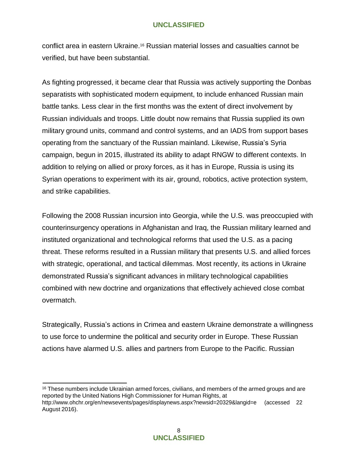conflict area in eastern Ukraine.<sup>16</sup> Russian material losses and casualties cannot be verified, but have been substantial.

As fighting progressed, it became clear that Russia was actively supporting the Donbas separatists with sophisticated modern equipment, to include enhanced Russian main battle tanks. Less clear in the first months was the extent of direct involvement by Russian individuals and troops. Little doubt now remains that Russia supplied its own military ground units, command and control systems, and an IADS from support bases operating from the sanctuary of the Russian mainland. Likewise, Russia's Syria campaign, begun in 2015, illustrated its ability to adapt RNGW to different contexts. In addition to relying on allied or proxy forces, as it has in Europe, Russia is using its Syrian operations to experiment with its air, ground, robotics, active protection system, and strike capabilities.

Following the 2008 Russian incursion into Georgia, while the U.S. was preoccupied with counterinsurgency operations in Afghanistan and Iraq, the Russian military learned and instituted organizational and technological reforms that used the U.S. as a pacing threat. These reforms resulted in a Russian military that presents U.S. and allied forces with strategic, operational, and tactical dilemmas. Most recently, its actions in Ukraine demonstrated Russia's significant advances in military technological capabilities combined with new doctrine and organizations that effectively achieved close combat overmatch.

Strategically, Russia's actions in Crimea and eastern Ukraine demonstrate a willingness to use force to undermine the political and security order in Europe. These Russian actions have alarmed U.S. allies and partners from Europe to the Pacific. Russian

<sup>16</sup> These numbers include Ukrainian armed forces, civilians, and members of the armed groups and are reported by the United Nations High Commissioner for Human Rights, at <http://www.ohchr.org/en/newsevents/pages/displaynews.aspx?newsid=20329&langid=e>(accessed 22 August 2016).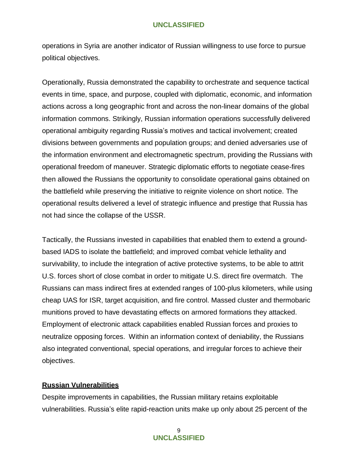operations in Syria are another indicator of Russian willingness to use force to pursue political objectives.

Operationally, Russia demonstrated the capability to orchestrate and sequence tactical events in time, space, and purpose, coupled with diplomatic, economic, and information actions across a long geographic front and across the non-linear domains of the global information commons. Strikingly, Russian information operations successfully delivered operational ambiguity regarding Russia's motives and tactical involvement; created divisions between governments and population groups; and denied adversaries use of the information environment and electromagnetic spectrum, providing the Russians with operational freedom of maneuver. Strategic diplomatic efforts to negotiate cease-fires then allowed the Russians the opportunity to consolidate operational gains obtained on the battlefield while preserving the initiative to reignite violence on short notice. The operational results delivered a level of strategic influence and prestige that Russia has not had since the collapse of the USSR.

Tactically, the Russians invested in capabilities that enabled them to extend a groundbased IADS to isolate the battlefield; and improved combat vehicle lethality and survivability, to include the integration of active protective systems, to be able to attrit U.S. forces short of close combat in order to mitigate U.S. direct fire overmatch. The Russians can mass indirect fires at extended ranges of 100-plus kilometers, while using cheap UAS for ISR, target acquisition, and fire control. Massed cluster and thermobaric munitions proved to have devastating effects on armored formations they attacked. Employment of electronic attack capabilities enabled Russian forces and proxies to neutralize opposing forces. Within an information context of deniability, the Russians also integrated conventional, special operations, and irregular forces to achieve their objectives.

#### **Russian Vulnerabilities**

Despite improvements in capabilities, the Russian military retains exploitable vulnerabilities. Russia's elite rapid-reaction units make up only about 25 percent of the

> 9 **UNCLASSIFIED**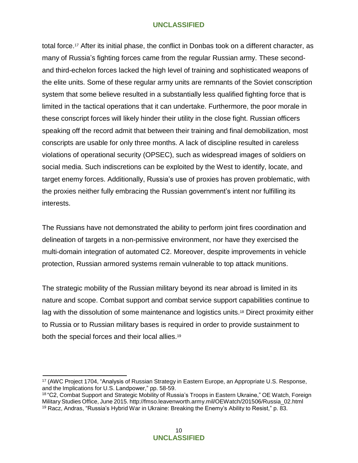total force.<sup>17</sup> After its initial phase, the conflict in Donbas took on a different character, as many of Russia's fighting forces came from the regular Russian army. These secondand third-echelon forces lacked the high level of training and sophisticated weapons of the elite units. Some of these regular army units are remnants of the Soviet conscription system that some believe resulted in a substantially less qualified fighting force that is limited in the tactical operations that it can undertake. Furthermore, the poor morale in these conscript forces will likely hinder their utility in the close fight. Russian officers speaking off the record admit that between their training and final demobilization, most conscripts are usable for only three months. A lack of discipline resulted in careless violations of operational security (OPSEC), such as widespread images of soldiers on social media. Such indiscretions can be exploited by the West to identify, locate, and target enemy forces. Additionally, Russia's use of proxies has proven problematic, with the proxies neither fully embracing the Russian government's intent nor fulfilling its interests.

The Russians have not demonstrated the ability to perform joint fires coordination and delineation of targets in a non-permissive environment, nor have they exercised the multi-domain integration of automated C2. Moreover, despite improvements in vehicle protection, Russian armored systems remain vulnerable to top attack munitions.

The strategic mobility of the Russian military beyond its near abroad is limited in its nature and scope. Combat support and combat service support capabilities continue to lag with the dissolution of some maintenance and logistics units.<sup>18</sup> Direct proximity either to Russia or to Russian military bases is required in order to provide sustainment to both the special forces and their local allies.<sup>19</sup>

<sup>17</sup> (AWC Project 1704, "Analysis of Russian Strategy in Eastern Europe, an Appropriate U.S. Response, and the Implications for U.S. Landpower," pp. 58-59.

<sup>18</sup> "C2, Combat Support and Strategic Mobility of Russia's Troops in Eastern Ukraine," OE Watch, Foreign MilitaryStudies Office, June 2015. [http://fmso.leavenworth.army.mil/OEWatch/201506/Russia\\_02.html](http://fmso.leavenworth.army.mil/OEWatch/201506/Russia_02.html) <sup>19</sup> Racz, Andras, "Russia's Hybrid War in Ukraine: Breaking the Enemy's Ability to Resist," p. 83.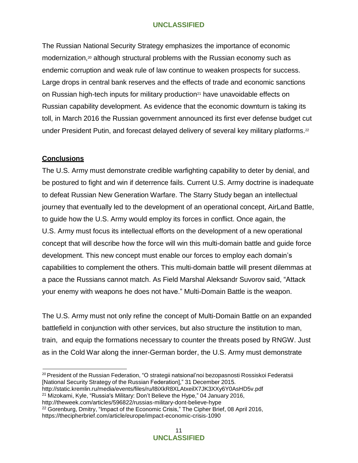The Russian National Security Strategy emphasizes the importance of economic modernization, $20$  although structural problems with the Russian economy such as endemic corruption and weak rule of law continue to weaken prospects for success. Large drops in central bank reserves and the effects of trade and economic sanctions on Russian high-tech inputs for military production<sup>21</sup> have unavoidable effects on Russian capability development. As evidence that the economic downturn is taking its toll, in March 2016 the Russian government announced its first ever defense budget cut under President Putin, and forecast delayed delivery of several key military platforms.<sup>22</sup>

## **Conclusions**

The U.S. Army must demonstrate credible warfighting capability to deter by denial, and be postured to fight and win if deterrence fails. Current U.S. Army doctrine is inadequate to defeat Russian New Generation Warfare. The Starry Study began an intellectual journey that eventually led to the development of an operational concept, AirLand Battle, to guide how the U.S. Army would employ its forces in conflict. Once again, the U.S. Army must focus its intellectual efforts on the development of a new operational concept that will describe how the force will win this multi-domain battle and guide force development. This new concept must enable our forces to employ each domain's capabilities to complement the others. This multi-domain battle will present dilemmas at a pace the Russians cannot match. As Field Marshal Aleksandr Suvorov said, "Attack your enemy with weapons he does not have." Multi-Domain Battle is the weapon.

The U.S. Army must not only refine the concept of Multi-Domain Battle on an expanded battlefield in conjunction with other services, but also structure the institution to man, train, and equip the formations necessary to counter the threats posed by RNGW. Just as in the Cold War along the inner-German border, the U.S. Army must demonstrate

<http://static.kremlin.ru/media/events/files/ru/l8iXkR8XLAtxeilX7JK3XXy6Y0AsHD5v.pdf>

<http://theweek.com/articles/596822/russias-military-dont-believe-hype>

<sup>22</sup> Gorenburg, Dmitry, "Impact of the Economic Crisis," The Cipher Brief, 08 April 2016, https://thecipherbrief.com/article/europe/impact-economic-crisis-1090

<sup>&</sup>lt;sup>20</sup> President of the Russian Federation, "O strategii natsional'noi bezopasnosti Rossiskoi Federatsii [National Security Strategy of the Russian Federation]," 31 December 2015.

<sup>21</sup> Mizokami, Kyle, "Russia's Military: Don't Believe the Hype," 04 January 2016[,](http://theweek.com/articles/596822/russias-military-dont-believe-hype)